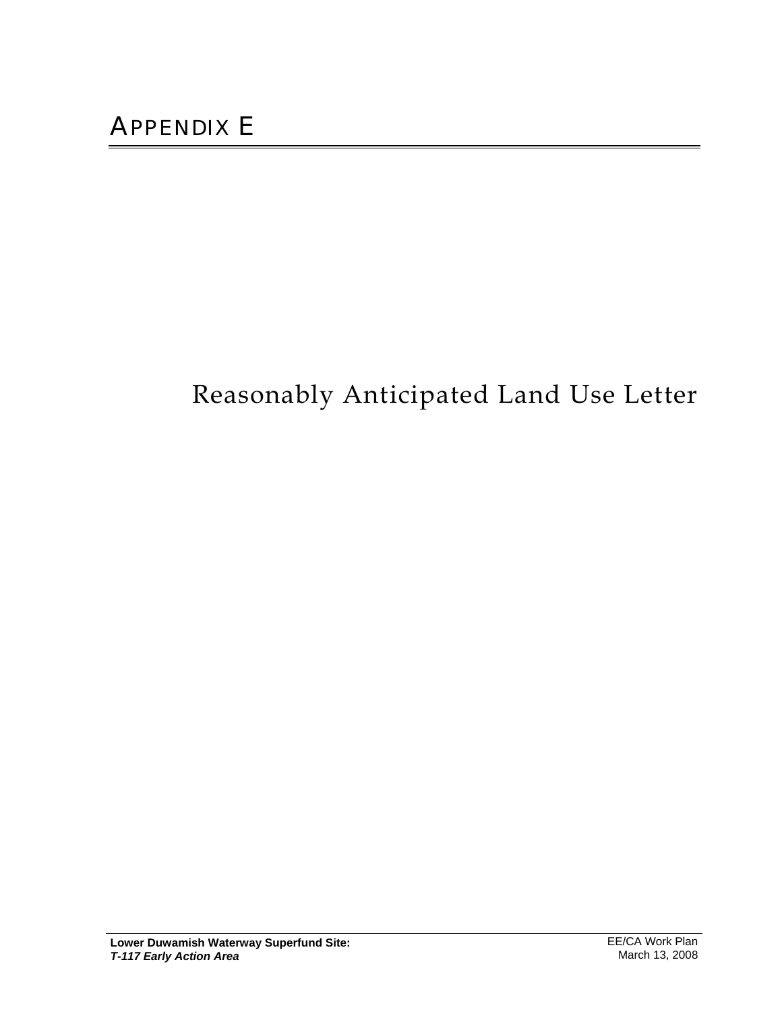## Reasonably Anticipated Land Use Letter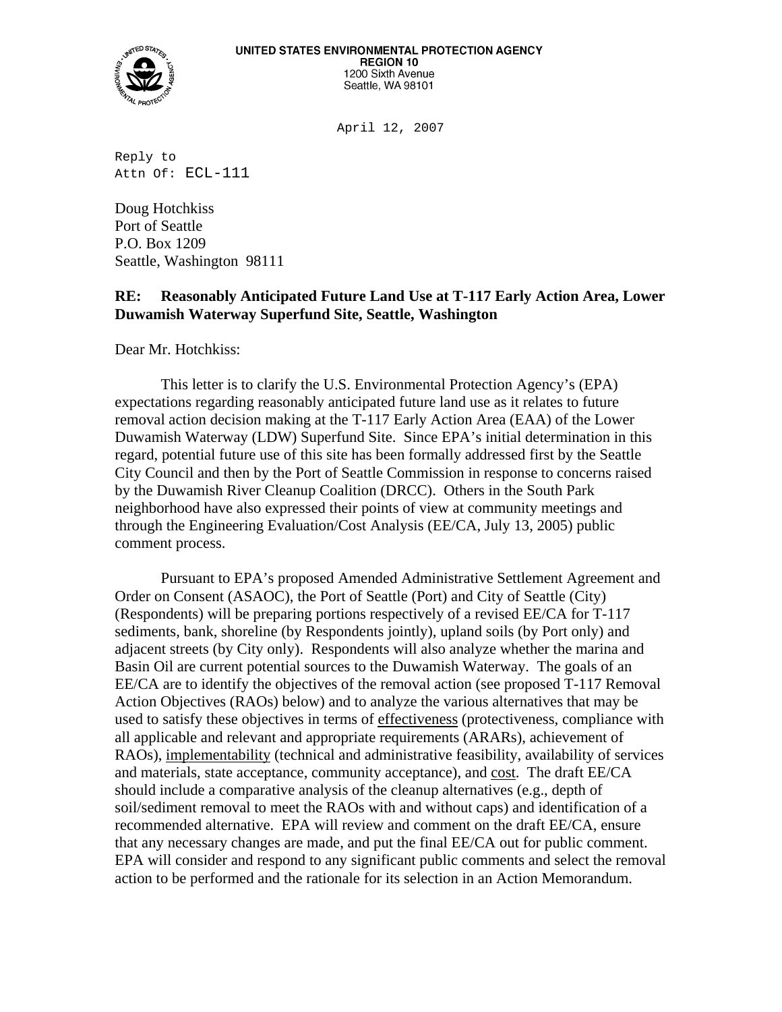

April 12, 2007

Reply to Attn Of: ECL-111

Doug Hotchkiss Port of Seattle P.O. Box 1209 Seattle, Washington 98111

## **RE: Reasonably Anticipated Future Land Use at T-117 Early Action Area, Lower Duwamish Waterway Superfund Site, Seattle, Washington**

Dear Mr. Hotchkiss:

 This letter is to clarify the U.S. Environmental Protection Agency's (EPA) expectations regarding reasonably anticipated future land use as it relates to future removal action decision making at the T-117 Early Action Area (EAA) of the Lower Duwamish Waterway (LDW) Superfund Site. Since EPA's initial determination in this regard, potential future use of this site has been formally addressed first by the Seattle City Council and then by the Port of Seattle Commission in response to concerns raised by the Duwamish River Cleanup Coalition (DRCC). Others in the South Park neighborhood have also expressed their points of view at community meetings and through the Engineering Evaluation/Cost Analysis (EE/CA, July 13, 2005) public comment process.

 Pursuant to EPA's proposed Amended Administrative Settlement Agreement and Order on Consent (ASAOC), the Port of Seattle (Port) and City of Seattle (City) (Respondents) will be preparing portions respectively of a revised EE/CA for T-117 sediments, bank, shoreline (by Respondents jointly), upland soils (by Port only) and adjacent streets (by City only). Respondents will also analyze whether the marina and Basin Oil are current potential sources to the Duwamish Waterway. The goals of an EE/CA are to identify the objectives of the removal action (see proposed T-117 Removal Action Objectives (RAOs) below) and to analyze the various alternatives that may be used to satisfy these objectives in terms of effectiveness (protectiveness, compliance with all applicable and relevant and appropriate requirements (ARARs), achievement of RAOs), implementability (technical and administrative feasibility, availability of services and materials, state acceptance, community acceptance), and cost. The draft EE/CA should include a comparative analysis of the cleanup alternatives (e.g., depth of soil/sediment removal to meet the RAOs with and without caps) and identification of a recommended alternative. EPA will review and comment on the draft EE/CA, ensure that any necessary changes are made, and put the final EE/CA out for public comment. EPA will consider and respond to any significant public comments and select the removal action to be performed and the rationale for its selection in an Action Memorandum.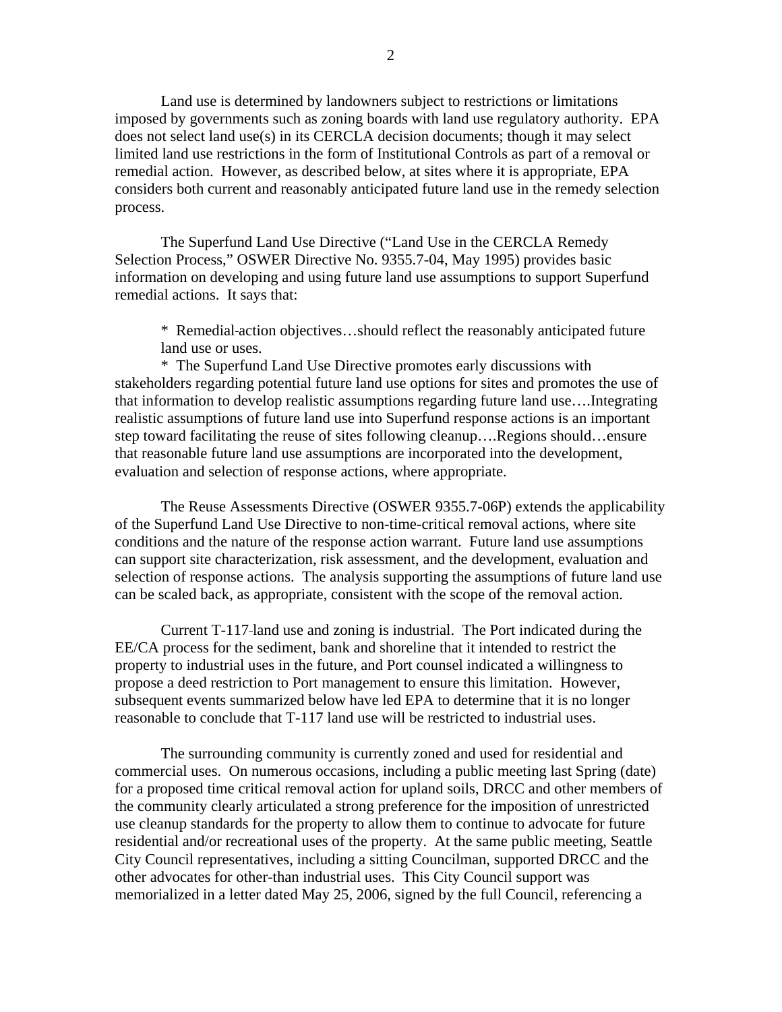Land use is determined by landowners subject to restrictions or limitations imposed by governments such as zoning boards with land use regulatory authority. EPA does not select land use(s) in its CERCLA decision documents; though it may select limited land use restrictions in the form of Institutional Controls as part of a removal or remedial action. However, as described below, at sites where it is appropriate, EPA considers both current and reasonably anticipated future land use in the remedy selection process.

 The Superfund Land Use Directive ("Land Use in the CERCLA Remedy Selection Process," OSWER Directive No. 9355.7-04, May 1995) provides basic information on developing and using future land use assumptions to support Superfund remedial actions. It says that:

\* Remedial action objectives…should reflect the reasonably anticipated future land use or uses.

 \* The Superfund Land Use Directive promotes early discussions with stakeholders regarding potential future land use options for sites and promotes the use of that information to develop realistic assumptions regarding future land use….Integrating realistic assumptions of future land use into Superfund response actions is an important step toward facilitating the reuse of sites following cleanup….Regions should…ensure that reasonable future land use assumptions are incorporated into the development, evaluation and selection of response actions, where appropriate.

 The Reuse Assessments Directive (OSWER 9355.7-06P) extends the applicability of the Superfund Land Use Directive to non-time-critical removal actions, where site conditions and the nature of the response action warrant. Future land use assumptions can support site characterization, risk assessment, and the development, evaluation and selection of response actions. The analysis supporting the assumptions of future land use can be scaled back, as appropriate, consistent with the scope of the removal action.

 Current T-117 land use and zoning is industrial. The Port indicated during the EE/CA process for the sediment, bank and shoreline that it intended to restrict the property to industrial uses in the future, and Port counsel indicated a willingness to propose a deed restriction to Port management to ensure this limitation. However, subsequent events summarized below have led EPA to determine that it is no longer reasonable to conclude that T-117 land use will be restricted to industrial uses.

The surrounding community is currently zoned and used for residential and commercial uses. On numerous occasions, including a public meeting last Spring (date) for a proposed time critical removal action for upland soils, DRCC and other members of the community clearly articulated a strong preference for the imposition of unrestricted use cleanup standards for the property to allow them to continue to advocate for future residential and/or recreational uses of the property. At the same public meeting, Seattle City Council representatives, including a sitting Councilman, supported DRCC and the other advocates for other-than industrial uses. This City Council support was memorialized in a letter dated May 25, 2006, signed by the full Council, referencing a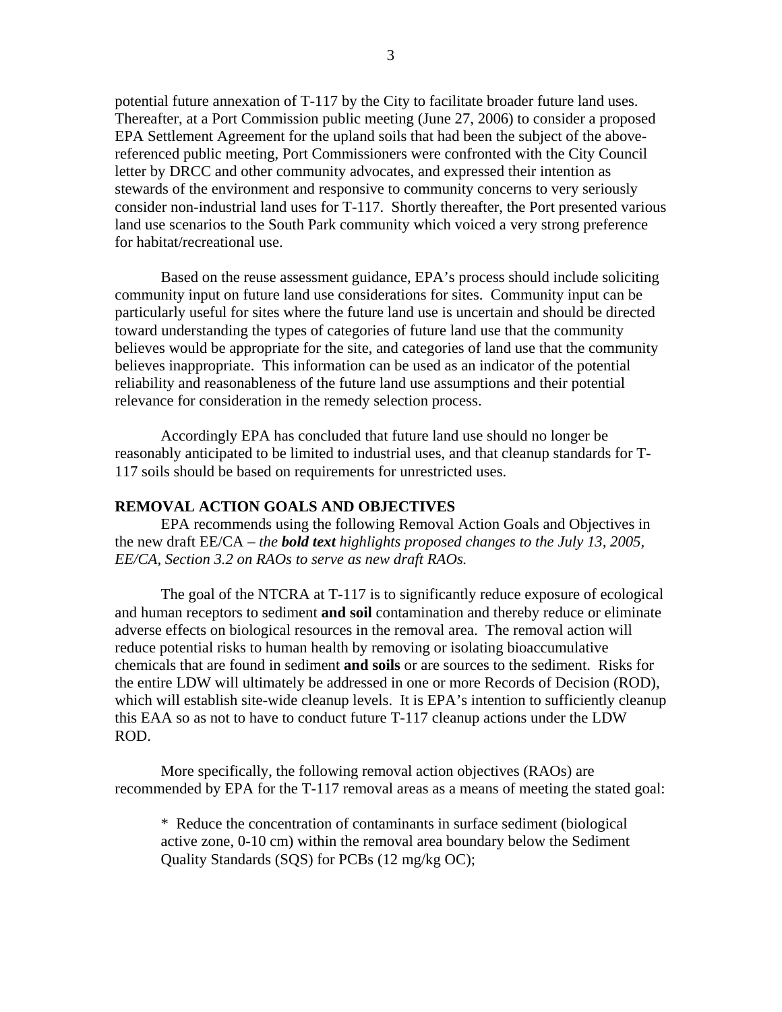potential future annexation of T-117 by the City to facilitate broader future land uses. Thereafter, at a Port Commission public meeting (June 27, 2006) to consider a proposed EPA Settlement Agreement for the upland soils that had been the subject of the abovereferenced public meeting, Port Commissioners were confronted with the City Council letter by DRCC and other community advocates, and expressed their intention as stewards of the environment and responsive to community concerns to very seriously consider non-industrial land uses for T-117. Shortly thereafter, the Port presented various land use scenarios to the South Park community which voiced a very strong preference for habitat/recreational use.

Based on the reuse assessment guidance, EPA's process should include soliciting community input on future land use considerations for sites. Community input can be particularly useful for sites where the future land use is uncertain and should be directed toward understanding the types of categories of future land use that the community believes would be appropriate for the site, and categories of land use that the community believes inappropriate. This information can be used as an indicator of the potential reliability and reasonableness of the future land use assumptions and their potential relevance for consideration in the remedy selection process.

 Accordingly EPA has concluded that future land use should no longer be reasonably anticipated to be limited to industrial uses, and that cleanup standards for T-117 soils should be based on requirements for unrestricted uses.

## **REMOVAL ACTION GOALS AND OBJECTIVES**

EPA recommends using the following Removal Action Goals and Objectives in the new draft EE/CA – *the bold text highlights proposed changes to the July 13, 2005, EE/CA, Section 3.2 on RAOs to serve as new draft RAOs.* 

The goal of the NTCRA at T-117 is to significantly reduce exposure of ecological and human receptors to sediment **and soil** contamination and thereby reduce or eliminate adverse effects on biological resources in the removal area. The removal action will reduce potential risks to human health by removing or isolating bioaccumulative chemicals that are found in sediment **and soils** or are sources to the sediment. Risks for the entire LDW will ultimately be addressed in one or more Records of Decision (ROD), which will establish site-wide cleanup levels. It is EPA's intention to sufficiently cleanup this EAA so as not to have to conduct future T-117 cleanup actions under the LDW ROD.

 More specifically, the following removal action objectives (RAOs) are recommended by EPA for the T-117 removal areas as a means of meeting the stated goal:

\* Reduce the concentration of contaminants in surface sediment (biological active zone, 0-10 cm) within the removal area boundary below the Sediment Quality Standards (SQS) for PCBs (12 mg/kg OC);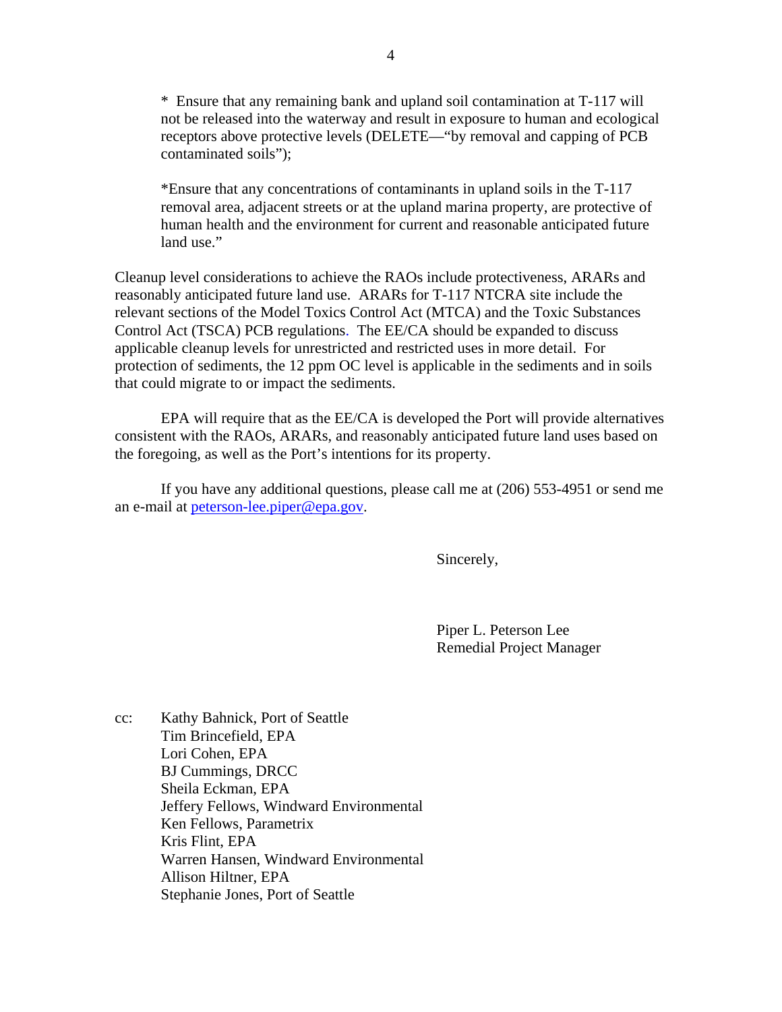\* Ensure that any remaining bank and upland soil contamination at T-117 will not be released into the waterway and result in exposure to human and ecological receptors above protective levels (DELETE—"by removal and capping of PCB contaminated soils");

\*Ensure that any concentrations of contaminants in upland soils in the T-117 removal area, adjacent streets or at the upland marina property, are protective of human health and the environment for current and reasonable anticipated future land use."

Cleanup level considerations to achieve the RAOs include protectiveness, ARARs and reasonably anticipated future land use. ARARs for T-117 NTCRA site include the relevant sections of the Model Toxics Control Act (MTCA) and the Toxic Substances Control Act (TSCA) PCB regulations. The EE/CA should be expanded to discuss applicable cleanup levels for unrestricted and restricted uses in more detail. For protection of sediments, the 12 ppm OC level is applicable in the sediments and in soils that could migrate to or impact the sediments.

 EPA will require that as the EE/CA is developed the Port will provide alternatives consistent with the RAOs, ARARs, and reasonably anticipated future land uses based on the foregoing, as well as the Port's intentions for its property.

 If you have any additional questions, please call me at (206) 553-4951 or send me an e-mail at peterson-lee.piper@epa.gov.

Sincerely,

 Piper L. Peterson Lee Remedial Project Manager

cc: Kathy Bahnick, Port of Seattle Tim Brincefield, EPA Lori Cohen, EPA BJ Cummings, DRCC Sheila Eckman, EPA Jeffery Fellows, Windward Environmental Ken Fellows, Parametrix Kris Flint, EPA Warren Hansen, Windward Environmental Allison Hiltner, EPA Stephanie Jones, Port of Seattle